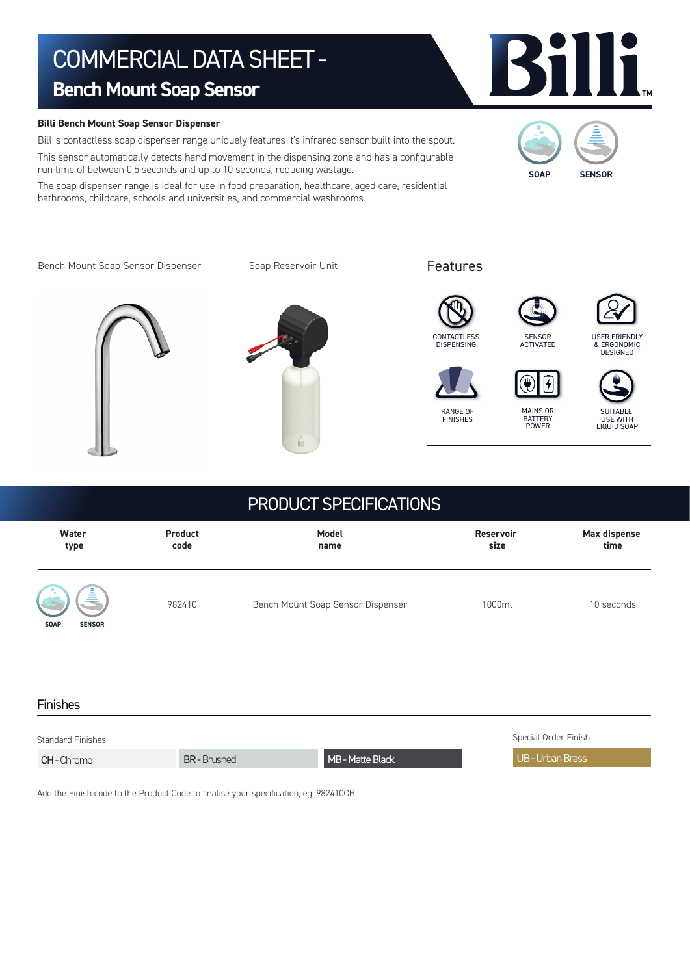# COMMERCIAL DATA SHEET -

# **Bench Mount Soap Sensor**

### **Billi Bench Mount Soap Sensor Dispenser**

Billi's contactless soap dispenser range uniquely features it's infrared sensor built into the spout. This sensor automatically detects hand movement in the dispensing zone and has a configurable run time of between 0.5 seconds and up to 10 seconds, reducing wastage.

The soap dispenser range is ideal for use in food preparation, healthcare, aged care, residential bathrooms, childcare, schools and universities, and commercial washrooms.



Bench Mount Soap Sensor Dispenser

Soap Reservoir Unit







USER FRIENDLY & ERGONOMIC DESIGNED



**CONTACTLESS DISPENSING** 

> RANGE OF FINISHES





 **Water Product Model Reservoir Max dispense type code name size time**  982410 Bench Mount Soap Sensor Dispenser 1000ml 10 seconds PRODUCT SPECIFICATIONS **SOAP SENSOR**

### Finishes

| <b>Standard Finishes</b> |                   |                  | Special Order Finish |
|--------------------------|-------------------|------------------|----------------------|
| <b>CH-</b> Chrome        | <b>BR-Brushed</b> | MB - Matte Black | l UB - Urban Brass   |

Add the Finish code to the Product Code to finalise your specification, eg. 982410CH